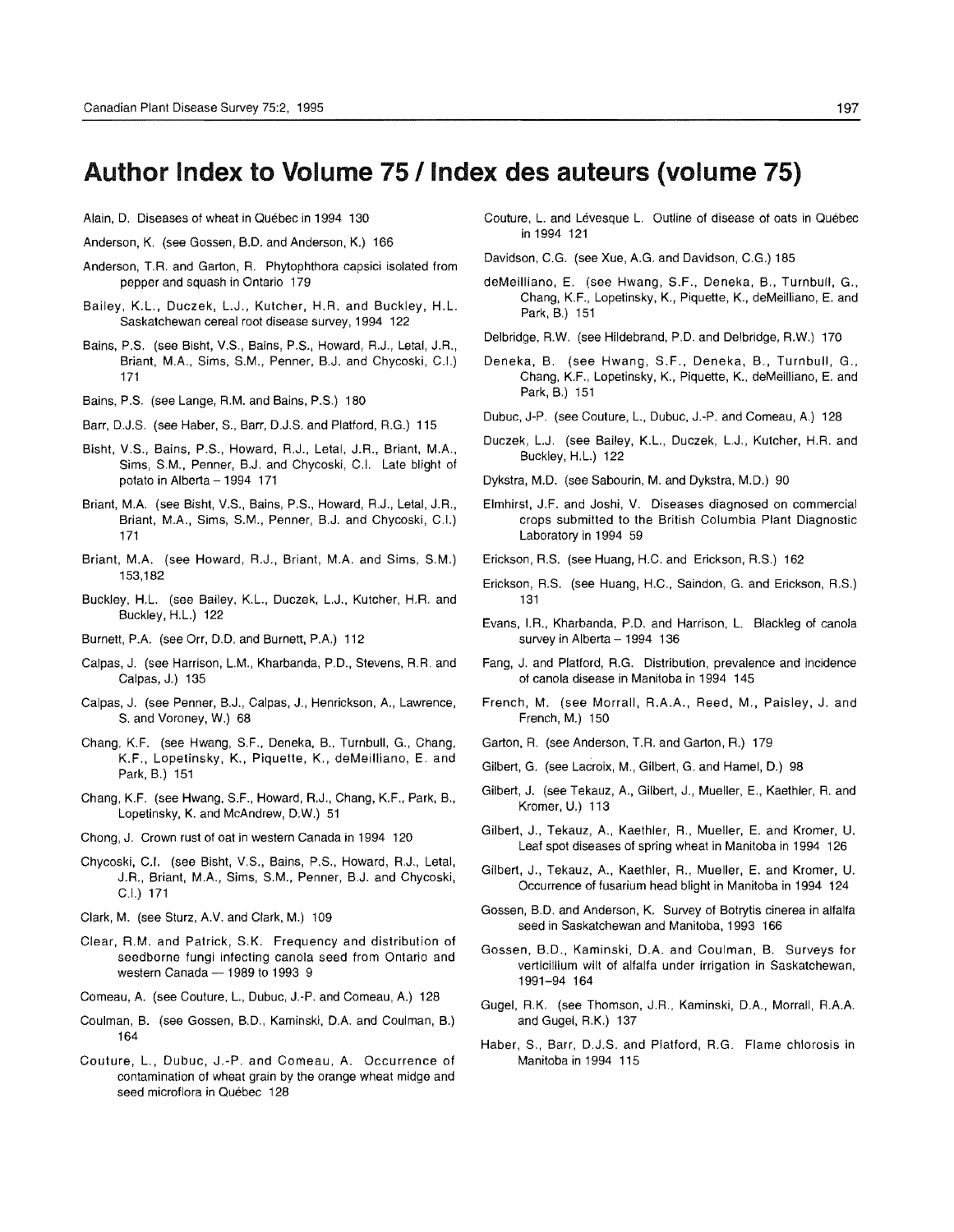## Author Index to Volume 75 / Index des auteurs (volume 75)

- Alain, D. Diseases of wheat in Québec in 1994 130
- Anderson, K. (see Gossen, B.D. and Anderson, K.) 166
- Anderson, T.R. and Garton, R. Phytophthora capsici isolated from pepper and squash in Ontario 179
- Bailey, K.L., Duczek, L.J., Kutcher, H.R. and Buckley, H.L. Saskatchewan cereal root disease survey, 1994 122
- Bains, P.S. (see Bisht, V.S., Bains, P.S., Howard, R.J., Letal, J.R., Briant, M.A., Sims, S.M., Penner, B.J. and Chycoski, C.I.) 171
- Bains, P.S. (see Lange, R.M. and Bains, P.S.) 180
- Barr, D.J.S. (see Haber, S., Barr, D.J.S. and Platford, R.G.) 115
- Bisht, V.S., Bains, P.S., Howard, R.J., Letal, J.R., Briant, M.A., Sims, S.M., Penner, B.J. and Chycoski, C.1. Late blight of potato in Alberta - 1994 171
- Briant, MA (see Bisht, V.S., Bains, P.S., Howard, R.J., Letal, J.R., Briant, M.A., Sims, S.M., Penner, B.J. and Chycoski, C.I.) 171
- Briant, M.A. (see Howard, R.J., Briant, M.A. and Sims, S.M.) 153,182
- Buckley, H.L. (see Bailey, K.L., Duczek, L.J., Kutcher, H.R. and Buckley, H.L.) 122
- Burnett, P.A. (see Orr, D.D. and Burnett, P.A.) 112
- Calpas, J. (see Harrison, L.M., Kharbanda, P.D., Stevens, R.R. and Calpas, J.) 135
- Calpas, J. (see Penner, B.J., Calpas, J., Henrickson, A, Lawrence, S. and Voroney, W.) 68
- Chang, K.F. (see Hwang, S.F., Deneka, 8., Turnbull, G., Chang, K.F., Lopelinsky, K., Piquette, K., deMeilliano, E. and Park, B.) 151
- Chang, K.F. (see Hwang, S.F., Howard, R.J., Chang, K.F., Park, B., Lopetinsky, K. and McAndrew, D,W.) 51
- Chong, J. Crown rust of oat in western Canada in 1994 120
- Chycoski, C.1. (see Bisht, V.S., Bains, P.S., Howard, R.J., Letal, J.A., Briant, M.A., Sims, S.M., Penner, B.J. and Chycoski, C.I.) 171
- Clark, M. (see Sturz, AV. and Clark, M.) 109
- Clear, A.M. and Patrick, S.K. Frequency and distribution of seedborne fungi infecting canola seed from Ontario and western Canada - 1989 to 1993 9
- Comeau, A. (see Couture, L., Dubuc, J.-P. and Comeau, A.) 128
- Coulman, B. (see Gossen, B.D., Kaminski, DA and Coulman, B.) 164
- Couture, L., Dubuc, J.-P. and Comeau, A. Occurrence of contamination of wheat grain by the orange wheat midge and seed microflora in Québec 128

Couture, L. and Lévesque L. Outline of disease of oats in Québec in 1994 121

Davidson, C.G. (see Xue, A.G. and Davidson, C.G.) 185

- deMeilliano, E. (see Hwang, S.F., Deneka, B., Turnbull, G., Chang, K.F., Lopetinsky, K., Piquette, K., deMeilliano, E. and Park, B.) 151
- Delbridge, R,W. (see Hildebrand, P.D. and Delbridge, R.W.) 170
- Deneka, B. (see Hwang, S.F., Deneka, B., Turnbull, G., Chang, K.F., Lopetinsky, K., Piquette, K., deMeiliiano, E. and Park, B.) 151
- Dubuc, J-P. (see Couture, L., Dubuc, J.-P. and Comeau, A.) 128
- Duczek, L.J. (see Bailey, K.L., Duczek, L.J., Kutcher, H.R. and Buckley, H.L.) 122
- Dykstra, M.D. (see Sabourin, M. and Dykstra, M.D.) 90
- Elmhirst, J.F. and Joshi, V. Diseases diagnosed on commercial crops submitted to the British Columbia Plant Diagnostic Laboratory in 1994 59
- Erickson, A.S. (see Huang, H.C. and Erickson, R.S.) 162
- Erickson, R.S. (see Huang, H.C., Saindon, G. and Erickson, R.S.) 131
- Evans, I.R., Kharbanda, P.D. and Harrison, L. Blackleg of canola survey in Alberta - 1994 136
- Fang, J. and Platford, R.G. Distribution, prevalence and incidence of canola disease in Manitoba in 1994 145
- French, M. (see Morrall, R.A.A., Reed, M., Paisley, J. and French, M.) 150
- Garton, R. (see Anderson, T.R. and Garton, R.) 179
- Gilbert, G. (see Lacroix, M., Gilbert, G. and Hamel, D.) 98
- Gilbert, J. (see Tekauz, A, Gilbert, J., Mueller, E., Kaethler, R. and Kromer, U.) 113
- Gilbert, J., Tekauz, A., Kaethler, R., Mueller, E. and Kromer, U. Leaf spot diseases of spring wheat in Manitoba in 1994 126
- Gilbert, J., Tekauz, A, Kaethler, R., Mueller, E. and Kromer, U. Occurrence of fusarium head blight in Manitoba in 1994 124
- Gossen, B.D. and Anderson, K. Survey of Botrytis cinerea in alfalfa seed in Saskatchewan and Manitoba, 1993 166
- Gossen, B.D., Kaminski, D.A. and Coulman, B. Surveys for verticillium wilt of alfalfa under irrigation in Saskatchewan, 1991-94 164
- Gugel, R.K. (see Thomson, J.R., Kaminski, D.A., Morrall, RAA and Gugel, R.K.) 137
- Haber, S., Barr, D.J.S. and Platford, R.G. Flame chlorosis in Manitoba in 1994 115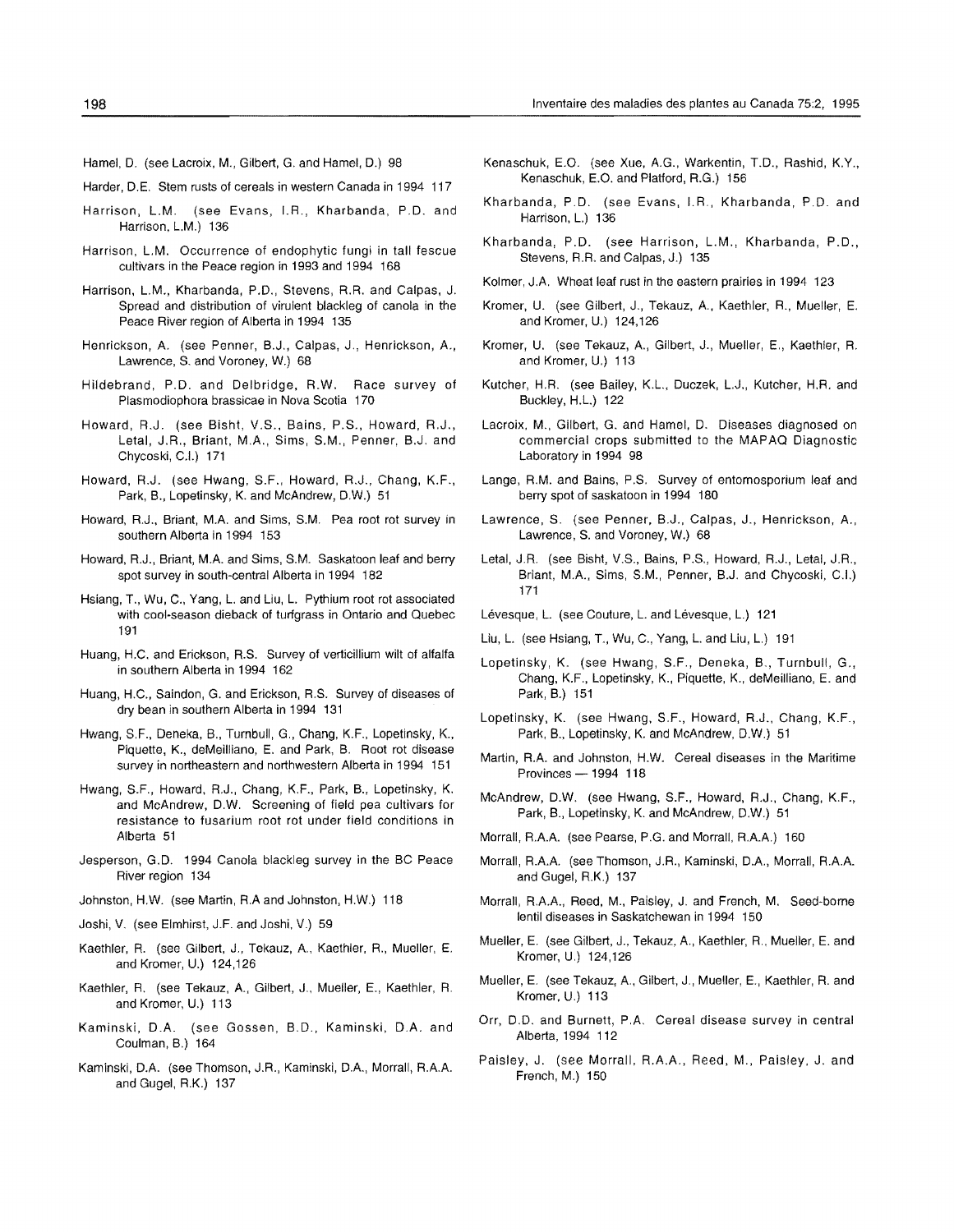- Hamel, D. (see Lacroix, M., Gilbert, G. and Hamel, D.) 98
- Harder, D.E. Stem rusts of cereals in western Canada in 1994 117
- Harrison, L.M. (see Evans, I.R., Kharbanda, P.D. and Harrison, L.M.) 136
- Harrison, L.M. Occurrence of endophytic fungi in tall fescue cultivars in the Peace region in 1993 and 1994 168
- Harrison, L.M., Kharbanda, P.D., Stevens, A.R. and Calpas, J. Spread and distribution of virulent blackleg of canola in the Peace River region of Alberta in 1994 135
- Henrickson, A. (see Penner, B.J., Calpas, J., Henrickson, A., Lawrence, S. and Voroney, W.) 68
- Hildebrand, P.D. and Delbridge, R.W. Race survey of Plasmodiophora brassicae in Nova Scotia 170
- Howard, R.J. (see Bisht, V.S., Bains, P.S., Howard, R.J., Letal, J.R., Briant, M.A., Sims, S.M., Penner, B.J. and Chycoski, C.I.) 171
- Howard, R.J. (see Hwang, S.F., Howard, R.J., Chang, K.F., Park, B., Lopetinsky, K. and McAndrew, D.W.) 51
- Howard, R.J., Briant, M.A. and Sims, S.M. Pea root rot survey in southern Alberta in 1994 153
- Howard, R.J., Briant, M.A. and Sims, S.M. Saskatoon leaf and berry spot survey in south-central Alberta in 1994 182
- Hsiang, T., Wu, C., Yang, L. and Liu, L. Pythium root rot associated with cool-season dieback of turfgrass in Ontario and Quebec 191
- Huang, H.C. and Erickson, R.S. Survey of verticillium wilt of alfalfa in southern Alberta in 1994 162
- Huang, H.C., Saindon, G. and Erickson, R.S. Survey of diseases of dry bean in southern Alberta in 1994 131
- Hwang, S.F., Deneka, B., Turnbull, G., Chang, K.F., Lopetinsky, K., Piquette, K., deMeiliiano, E. and Park, B. Root rot disease survey in northeastern and northwestern Alberta in 1994 151
- Hwang, S.F., Howard, R.J., Chang, K.F., Park, B., Lopetinsky, K. and McAndrew, D.W. Screening of field pea cultivars for resistance to fusarium root rot under field conditions in Alberta 51
- Jesperson, G.D. 1994 Canola blackleg survey in the BC Peace River region 134
- Johnston, HW. (see Martin, R.A and Johnston, H.W.) 118
- Joshi, V. (see Elmhirst, J.F. and Joshi, V.) 59
- Kaethler, R. (see Gilbert, J., Tekauz, A, Kaethler, R., Mueller, E. and Kromer, U.) 124,126
- Kaethler, R. (see Tekauz, A., Gilbert, J., Mueller, E., Kaethler, R. and Kromer, U.) 113
- Kaminski, D.A. (see Gossen, B.D., Kaminski, D.A. and Coulman, B.) 164
- Kaminski, D.A. (see Thomson, J.R., Kaminski, D.A., Morrall, R.A.A. and Gugel, R.K.) 137
- Kenaschuk, E.O. (see Xue, A.G., Warkentin, T.D., Rashid, K.Y., Kenaschuk, E.O. and Platiord, R.G.) 156
- Kharbanda, P.D. (see Evans, I.R., Kharbanda, P.D. and Harrison, L.) 136
- Kharbanda, P.D. (see Harrison, L.M., Kharbanda, P.D., Stevens, R.R. and Calpas, J.) 135
- Kolmer, J.A. Wheat leaf rust in the eastern prairies in 1994 123
- Kromer, U. (see Gilbert, J., Tekauz, A., Kaethler, R., Mueller, E. and Kromer, U.) 124,126
- Kromer, U. (see Tekauz, A., Gilbert, J., Mueller, E., Kaethler, R. and Kromer, U.) 113
- Kutcher, H.R. (see Bailey, K.L., Duczek, L.J., Kutcher, H.R. and Buckley, H.L.) 122
- Lacroix, M., Gilbert, G. and Hamel, D. Diseases diagnosed on commercial crops submitted to the MAPAQ Diagnostic Laboratory in 1994 98
- Lange, R.M. and Bains, P.S. Survey of entomosporium leaf and berry spot of saskatoon in 1994 180
- Lawrence, S. (see Penner, B.J., Calpas, J., Henrickson, A., Lawrence, S. and Voroney, W.) 68
- Letal, J.R. (see Bisht, V.S., Bains, P.S., Howard, R.J., Letal, J.R., Briant, M.A., Sims, S.M., Penner, B.J. and Chycoski, C.I.) 171
- Lévesque, L. (see Couture, L. and Lévesque, L.) 121
- Liu, L. (see Hsiang, T., Wu, C., Yang, L. and Liu, L.) 191
- Lopetinsky, K. (see Hwang, S.F., Deneka, B., Turnbull, G., Chang, K.F., Lopetinsky, K., Piquette, K., deMeiliiano, E. and Park, 8.) 151
- Lopetinsky, K. (see Hwang, S.F., Howard, R.J., Chang, K.F., Park, B., Lopetinsky, K. and McAndrew, DW.) 51
- Martin, R.A. and Johnston, H.W. Cereal diseases in the Maritime Provinces - 1994 118
- McAndrew, D.W. (see Hwang, S.F., Howard, R.J., Chang, K.F., Park, 8., Lopetinsky, K. and McAndrew, D.W.) 51
- Morrall, R.AA (see Pearse, P.G. and Morrall, RAA.) 160
- Morrall, RAA (see Thomson, J.R., Kaminski, D.A., Morrall, R.AA and Gugel, R.K.) 137
- Morrall, R.A.A., Reed, M., Paisley, J. and French, M. Seed-borne lentil diseases in Saskatchewan in 1994 150
- Mueller, E. (see Gilbert, J., Tekauz, A., Kaethler, R., Mueller, E. and Kromer, U.) 124,126
- Mueller, E. (see Tekauz, A. Gilbert. J., Mueller, E.. Kaethler, R. and Kromer, U.) 113
- Orr, D.D. and Burnett, P.A. Cereal disease survey in central Alberta, 1994 112
- Paisley, J. (see Morrall. R.A.A., Reed, M., Paisley, J. and French, M.) 150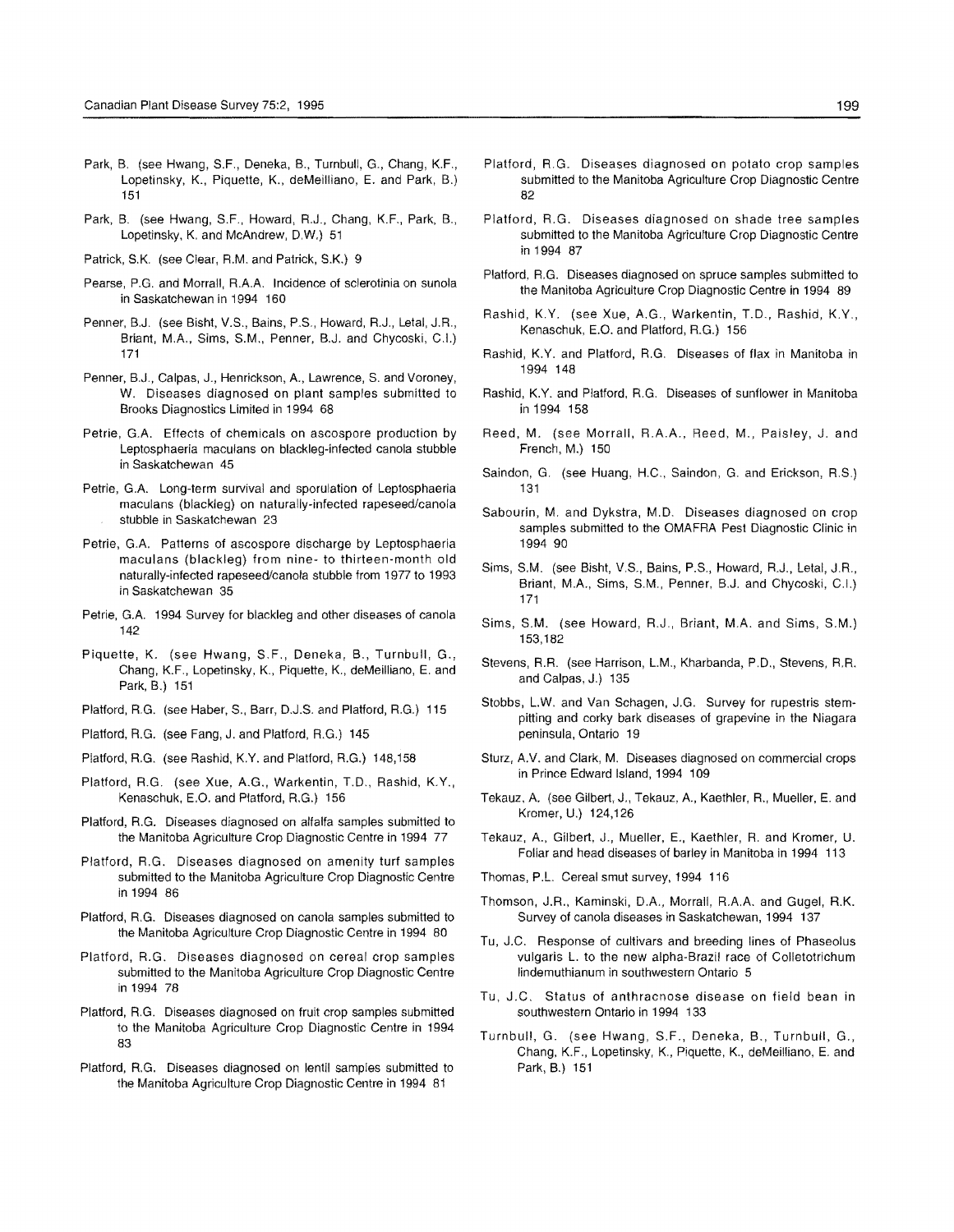- Park, B. (see Hwang, S.F., Deneka, B., Turnbull, G., Chang, K.F., Lopetinsky, K., Piquette, K., deMeilliano, E. and Park, B.) 151
- Park, B. (see Hwang, S.F., Howard, R.J., Chang, K.F., Park, B., Lopetinsky, K. and McAndrew, D.W.) 51
- Patrick, S.K. (see Clear, R.M. and Patrick, S.K.) 9
- Pearse, P.G. and Morrall, R.A.A. Incidence of sclerotinia on sunola in Saskatchewan in 1994 160
- Penner, B.J. (see Bisht, V.S., Bains, P.S., Howard, R,J., Letal, J.R, Briant, M.A., Sims, S.M., Penner, B.J. and Chycoski, C.I.) 171
- Penner, B.J., Calpas, J., Henrickson, A., Lawrence, S. and Voroney, W. Diseases diagnosed on plant samples submitted to Brooks Diagnostics Limited in 1994 68
- Petrie, G.A. Effects of chemicals on ascospore production by Leptosphaeria maculans on blackleg-infected canola stubble in Saskatchewan 45
- Petrie, G.A. Long-term survival and sporulation of Leptosphaeria maculans (blackleg) on naturally-infected rapeseed/canola stubble in Saskatchewan 23
- Petrie, G.A. Patterns of ascospore discharge by Leptosphaeria maculans (blackleg) from nine- to thirteen-month old naturally-infected rapeseed/canola stubble trom 1977 to 1993 in Saskatchewan 35
- Petrie, G.A. 1994 Survey for blackleg and other diseases of canola 142
- Piquette, K. (see Hwang, S.F., Deneka, B., Turnbull, G., Chang, K.F., Lopetinsky, K., Piquette, K., deMeilliano, E. and Park, B.) 151
- Platford, R.G. (see Haber, S., Barr, D.J.S. and Platford, R.G.) 115
- Platford, R.G. (see Fang, J. and Platford, R.G.) 145
- Platford, RG. (see Rashid, K.Y. and Platford, R.G.) 148,158
- Platford, R.G. (see Xue, A.G., Warkentin, T.D., Rashid, K.Y., Kenaschuk, E.O. and Platford, R.G.) 156
- Platford, RG. Diseases diagnosed on alfalfa samples submitted to the Manitoba Agriculture Crop Diagnostic Centre in 1994 77
- Platford, R.G. Diseases diagnosed on amenity turf samples submitted to the Manitoba Agriculture Crop Diagnostic Centre in 1994 86
- Platford, RG. Diseases diagnosed on canola samples submitted to the Manitoba Agriculture Crop Diagnostic Centre in 1994 80
- Platford, R.G. Diseases diagnosed on cereal crop samples submitted to the Manitoba Agriculture Crop Diagnostic Centre in 1994 78
- Plattord, R.G. Diseases diagnosed on fruit crop samples submitted to the Manitoba Agriculture Crop Diagnostic Centre in 1994 83
- Platford, R.G. Diseases diagnosed on lentil samples submitted to the Manitoba Agriculture Crop Diagnostic Centre in 1994 81
- Platford, R.G. Diseases diagnosed on potato crop samples submitted to the Manitoba Agriculture Crop Diagnostic Centre 82
- Plalford, R.G. Diseases diagnosed on shade tree samples submitted to the Manitoba Agriculture Crop Diagnostic Centre in 1994 87
- Platford, R.G. Diseases diagnosed on spruce samples submitted to the Manitoba Agriculture Crop Diagnostic Centre in 1994 89
- Rashid, K.Y. (see Xue, A.G., Warkentin, T.D., Rashid, K.Y., Kenaschuk, E.O. and Platford, R.G.) 156
- Rashid, K.Y. and Platford, R.G. Diseases of flax in Manitoba in 1994 148
- Rashid, K.Y. and Platford, RG. Diseases of sunflower in Manitoba in 1994 158
- Reed, M. (see Morrall, R.A.A., Reed, M., Paisley, J. and French, M.) 150
- Saindon, G. (see Huang, H.C., Saindon, G. and Erickson, R.S.) 131
- Sabourin, M. and Dykstra, M.D. Diseases diagnosed on crop samples submitted to the OMAFRA Pest Diagnostic Clinic in 1994 90
- Sims, S.M. (see Bisht, V.S., Bains, P.S., Howard, R.J., Letal, J.R., Briant, MA, Sims, S.M., Penner, B.J. and Chycoski, C.I.) 171
- Sims, S.M. (see Howard, R.J., Briant, M.A. and Sims, S.M.) 153,182
- Stevens, R.R. (see Harrison, L.M., Kharbanda, P.D., Stevens, R.R. and Calpas, J.) 135
- Stobbs, L.W. and Van Schagen, J.G. Survey for rupestris stempitting and corky bark diseases of grapevine in the Niagara peninsula, Ontario 19
- Sturz, A.V. and Clark, M. Diseases diagnosed on commercial crops in Prince Edward Island, 1994 109
- Tekauz, A. (see Gilbert, J., Tekauz, A., Kaethler, R, Mueller, E. and Kromer, U.) 124,126
- Tekauz, A., Gilbert, J., Mueller, E., Kaethler, R. and Kromer, U. Foliar and head diseases of barley in Manitoba in 1994 113
- Thomas, P.L. Cereal smut survey, 1994 116
- Thomson, J.R., Kaminski, D.A., Morrall, R.A.A. and Gugel, R.K. Survey of canola diseases in Saskatchewan, 1994 137
- Tu, J.C. Response of cultivars and breeding lines of Phaseolus vulgaris L. to the new alpha-Brazil race of Colletotrichum lindemuthianum in southwestern Ontario 5
- Tu, J.C. Status of anthracnose disease on field bean in southwestern Ontario in 1994 133
- Turnbull, G. (see Hwang, S.F., Deneka, B., Turnbull, G., Chang, K.F., Lopetinsky, K., Piquette, K., deMeilliano, E. and Park, B.) 151